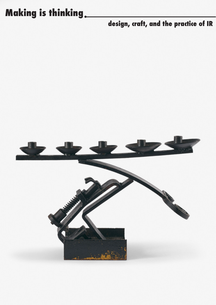## **Making is thinking .**

## **design, craft, and the practice of IR**

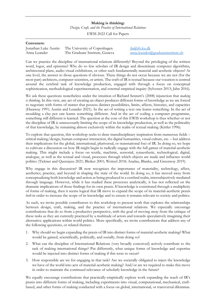## **Making is thinking:**

*Design, Craft, and the Practice of International Relations*

EWIS 2022 Call for Papers

| Conveners:                           |                                                                                                                                                                                                                     |                                                       |
|--------------------------------------|---------------------------------------------------------------------------------------------------------------------------------------------------------------------------------------------------------------------|-------------------------------------------------------|
| Jonathan Luke Austin<br>Anna Leander | The University of Copenhagen<br>The Graduate Institute, Geneva                                                                                                                                                      | $i$ la@ifs.ku.dk<br>anna.leander@graduateinstitute.ch |
|                                      | Can we practice the discipline of international relations differently? Beyond the privileging of the written<br>word, logos, and episteme? Why do so few scholars of IR design and disseminate computer algorithms. |                                                       |

word, logos, and episteme? Why do so few scholars of IR design and disseminate computer algorithms, architectural plans, audio-visual exhibitions, or other such fundamentally material and aesthetic objects? At one level, the answer to those questions if obvious. These things do not occur because we are not (for the most part) architects, computer scientists, or artists. The craft of IR is textual because our vocation is centred around the cerebral task of knowledge production, engaged with through a focus on conceptual sophistication, methodological experimentation, and external empirical inquiry (Sylvester 2013; Jahn 2016).

We ask these questions nonetheless under the intuition of Richard Sennett's (2008) injunction that *making is thinking*. In this view, any act of creating an object produces different forms of knowledge as we are forced to negotiate with forms of matter that possess distinct possibilities, limits, affects, histories, and capacities (Haraway 1991; Austin and Leander 2021). In the act of writing a text one learns something. In the act of moulding a clay pot one learns something different. And in the act of coding a computer programme, something still different is learned. The question at the core of this EWIS workshop is thus whether or not the discipline of IR is unnecessarily limiting the scope of its knowledge production, as well as the politicality of that knowledge, by remaining almost exclusively within the realm of textual making (Kittler 1996).

To explore that question, this workshop seeks to draw transdisciplinary inspiration from numerous fields – critical making/design, human-computer interaction, the digital humanities, visual culture, etc. – but address their implications for the global, international, pluriversal, or transnational foci of IR. In doing so, we hope to cultivate a discussion on how IR might begin to radically engage with the full gamut of material-aesthetic making. This might include a focus on textile, machinic, sensorial, synaesthetic, technological, digital, analogue, as well as the textual and visual, processes through which objects are made and influence world politics (Tickner and Querejazu 2021; Bleiker 2001; Weitzel 2018; Aradau, Blanke, and Greenway 2019).

Why engage in this discussion? IR now recognizes the importance of materiality, technology, affect, aesthetics, practice, and beyond in shaping the state of the world. In doing so, it has moved away from conceptualizing both knowledge and action as being produced in a cerebral realm, intersubjectively mediated through language. However, while it has studied these processes analytically, it has not reflected on the dramatic implications of those findings for its own praxis. If knowledge is constituted through a multiplicity of forms of making, then it seems logical that IR move to expand the scope of its material-aesthetic praxis *both* in order to increase the scope of its knowledge and to ensure it remains relevant to society and politics.

As such, we invite possible contributors to this workshop to present work that explores the relationships between design, craft, making, and the practice of international relations. We especially encourage contributions that do so from a productive perspective, with the goal of moving away from the critique of these tasks as they are currently practiced by a multitude of actors and towards speculatively imagining their alternative applications within world politics. More specifically, we invite contributions that address any of the following questions, or related themes:

- 1. Why should we begin expanding the praxis of IR into distinct forms of material-aesthetic making? What would be gained, scientifically, politically, and socially, from doing so?
- 2. What can the discipline of International Relations (very broadly conceived) actively contribute to the task of making international things? Put differently, what unique forms of knowledge and expertise would be injected into distinct forms of making if this were to occur?
- 3. How responsible are we for engaging in that task? Are we societally obligated to inject the knowledge we have of the world into acts of material-aesthetic making? And/or are we required to make this move in order to maintain the continued relevance of scholarly knowledge in the future?

We equally encourage contributions that practically-empirically explore work expanding the reach of IR's praxis into different forms of making, including experiments into visual, computational, mechanical, craftbased, and other forms of making conducted with a focus on global, international, or transversal dilemmas.